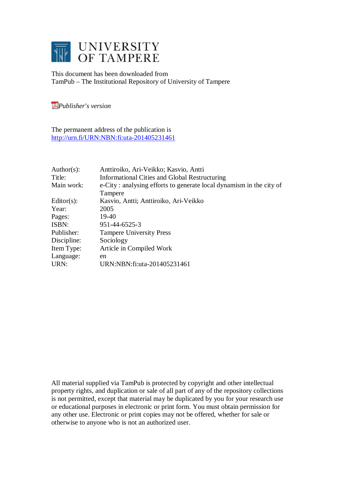

This document has been downloaded from TamPub – The Institutional Repository of University of Tampere

*[P](http://tampub.uta.fi/english/haekokoversio.php?id=1007)ublisher's version* 

The permanent address of the publication is <http://urn.fi/URN:NBN:fi:uta-201405231461>

| Author(s):    | Anttiroiko, Ari-Veikko; Kasvio, Antti                               |
|---------------|---------------------------------------------------------------------|
| Title:        | <b>Informational Cities and Global Restructuring</b>                |
| Main work:    | e-City: analysing efforts to generate local dynamism in the city of |
|               | Tampere                                                             |
| $Editor(s)$ : | Kasvio, Antti; Anttiroiko, Ari-Veikko                               |
| Year:         | 2005                                                                |
| Pages:        | 19-40                                                               |
| ISBN:         | 951-44-6525-3                                                       |
| Publisher:    | <b>Tampere University Press</b>                                     |
| Discipline:   | Sociology                                                           |
| Item Type:    | Article in Compiled Work                                            |
| Language:     | en                                                                  |
| URN:          | URN:NBN:fi:uta-201405231461                                         |

All material supplied via TamPub is protected by copyright and other intellectual property rights, and duplication or sale of all part of any of the repository collections is not permitted, except that material may be duplicated by you for your research use or educational purposes in electronic or print form. You must obtain permission for any other use. Electronic or print copies may not be offered, whether for sale or otherwise to anyone who is not an authorized user.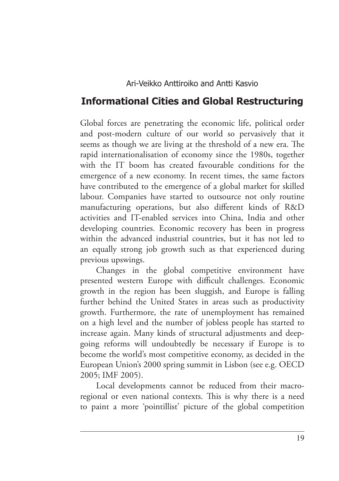Ari-Veikko Anttiroiko and Antti Kasvio

# **Informational Cities and Global Restructuring**

Global forces are penetrating the economic life, political order and post-modern culture of our world so pervasively that it seems as though we are living at the threshold of a new era. The rapid internationalisation of economy since the 1980s, together with the IT boom has created favourable conditions for the emergence of a new economy. In recent times, the same factors have contributed to the emergence of a global market for skilled labour. Companies have started to outsource not only routine manufacturing operations, but also different kinds of R&D activities and IT-enabled services into China, India and other developing countries. Economic recovery has been in progress within the advanced industrial countries, but it has not led to an equally strong job growth such as that experienced during previous upswings.

Changes in the global competitive environment have presented western Europe with difficult challenges. Economic growth in the region has been sluggish, and Europe is falling further behind the United States in areas such as productivity growth. Furthermore, the rate of unemployment has remained on a high level and the number of jobless people has started to increase again. Many kinds of structural adjustments and deepgoing reforms will undoubtedly be necessary if Europe is to become the world's most competitive economy, as decided in the European Union's 2000 spring summit in Lisbon (see e.g. OECD 2005; IMF 2005).

Local developments cannot be reduced from their macroregional or even national contexts. This is why there is a need to paint a more 'pointillist' picture of the global competition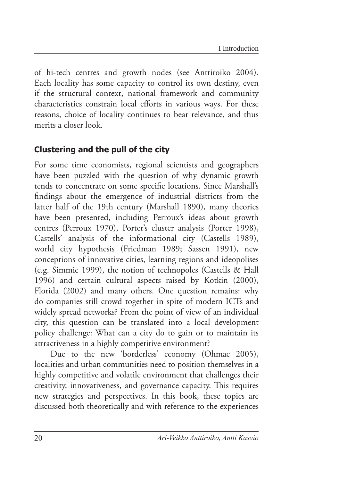of hi-tech centres and growth nodes (see Anttiroiko 2004). Each locality has some capacity to control its own destiny, even if the structural context, national framework and community characteristics constrain local efforts in various ways. For these reasons, choice of locality continues to bear relevance, and thus merits a closer look.

### **Clustering and the pull of the city**

For some time economists, regional scientists and geographers have been puzzled with the question of why dynamic growth tends to concentrate on some specific locations. Since Marshall's findings about the emergence of industrial districts from the latter half of the 19th century (Marshall 1890), many theories have been presented, including Perroux's ideas about growth centres (Perroux 1970), Porter's cluster analysis (Porter 1998), Castells' analysis of the informational city (Castells 1989), world city hypothesis (Friedman 1989; Sassen 1991), new conceptions of innovative cities, learning regions and ideopolises (e.g. Simmie 1999), the notion of technopoles (Castells & Hall 1996) and certain cultural aspects raised by Kotkin (2000), Florida (2002) and many others. One question remains: why do companies still crowd together in spite of modern ICTs and widely spread networks? From the point of view of an individual city, this question can be translated into a local development policy challenge: What can a city do to gain or to maintain its attractiveness in a highly competitive environment?

Due to the new 'borderless' economy (Ohmae 2005), localities and urban communities need to position themselves in a highly competitive and volatile environment that challenges their creativity, innovativeness, and governance capacity. This requires new strategies and perspectives. In this book, these topics are discussed both theoretically and with reference to the experiences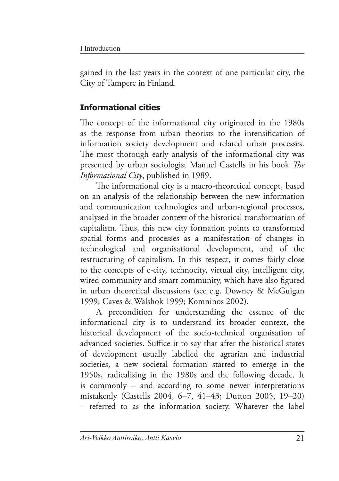gained in the last years in the context of one particular city, the City of Tampere in Finland.

# **Informational cities**

The concept of the informational city originated in the 1980s as the response from urban theorists to the intensification of information society development and related urban processes. The most thorough early analysis of the informational city was presented by urban sociologist Manuel Castells in his book *The Informational City*, published in 1989.

The informational city is a macro-theoretical concept, based on an analysis of the relationship between the new information and communication technologies and urban-regional processes, analysed in the broader context of the historical transformation of capitalism. Thus, this new city formation points to transformed spatial forms and processes as a manifestation of changes in technological and organisational development, and of the restructuring of capitalism. In this respect, it comes fairly close to the concepts of e-city, technocity, virtual city, intelligent city, wired community and smart community, which have also figured in urban theoretical discussions (see e.g. Downey & McGuigan 1999; Caves & Walshok 1999; Komninos 2002).

A precondition for understanding the essence of the informational city is to understand its broader context, the historical development of the socio-technical organisation of advanced societies. Suffice it to say that after the historical states of development usually labelled the agrarian and industrial societies, a new societal formation started to emerge in the 1950s, radicalising in the 1980s and the following decade. It is commonly – and according to some newer interpretations mistakenly (Castells 2004, 6–7, 41–43; Dutton 2005, 19–20) – referred to as the information society. Whatever the label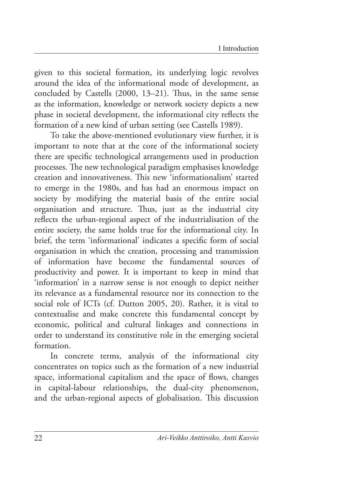given to this societal formation, its underlying logic revolves around the idea of the informational mode of development, as concluded by Castells (2000, 13–21). Thus, in the same sense as the information, knowledge or network society depicts a new phase in societal development, the informational city reflects the formation of a new kind of urban setting (see Castells 1989).

To take the above-mentioned evolutionary view further, it is important to note that at the core of the informational society there are specific technological arrangements used in production processes. The new technological paradigm emphasises knowledge creation and innovativeness. This new 'informationalism' started to emerge in the 1980s, and has had an enormous impact on society by modifying the material basis of the entire social organisation and structure. Thus, just as the industrial city reflects the urban-regional aspect of the industrialisation of the entire society, the same holds true for the informational city. In brief, the term 'informational' indicates a specific form of social organisation in which the creation, processing and transmission of information have become the fundamental sources of productivity and power. It is important to keep in mind that 'information' in a narrow sense is not enough to depict neither its relevance as a fundamental resource nor its connection to the social role of ICTs (cf. Dutton 2005, 20). Rather, it is vital to contextualise and make concrete this fundamental concept by economic, political and cultural linkages and connections in order to understand its constitutive role in the emerging societal formation.

In concrete terms, analysis of the informational city concentrates on topics such as the formation of a new industrial space, informational capitalism and the space of flows, changes in capital-labour relationships, the dual-city phenomenon, and the urban-regional aspects of globalisation. This discussion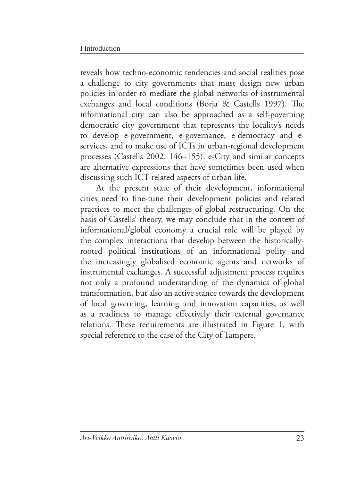reveals how techno-economic tendencies and social realities pose a challenge to city governments that must design new urban policies in order to mediate the global networks of instrumental exchanges and local conditions (Borja & Castells 1997). The informational city can also be approached as a self-governing democratic city government that represents the locality's needs to develop e-government, e-governance, e-democracy and eservices, and to make use of ICTs in urban-regional development processes (Castells 2002, 146–155). e-City and similar concepts are alternative expressions that have sometimes been used when discussing such ICT-related aspects of urban life.

At the present state of their development, informational cities need to fine-tune their development policies and related practices to meet the challenges of global restructuring. On the basis of Castells' theory, we may conclude that in the context of informational/global economy a crucial role will be played by the complex interactions that develop between the historicallyrooted political institutions of an informational polity and the increasingly globalised economic agents and networks of instrumental exchanges. A successful adjustment process requires not only a profound understanding of the dynamics of global transformation, but also an active stance towards the development of local governing, learning and innovation capacities, as well as a readiness to manage effectively their external governance relations. These requirements are illustrated in Figure 1, with special reference to the case of the City of Tampere.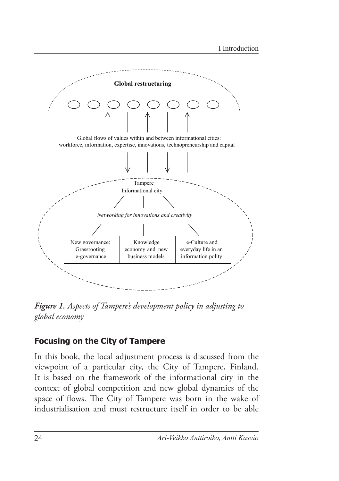

*Figure 1. Aspects of Tampere's development policy in adjusting to global economy*

## **Focusing on the City of Tampere**

In this book, the local adjustment process is discussed from the viewpoint of a particular city, the City of Tampere, Finland. It is based on the framework of the informational city in the context of global competition and new global dynamics of the space of flows. The City of Tampere was born in the wake of industrialisation and must restructure itself in order to be able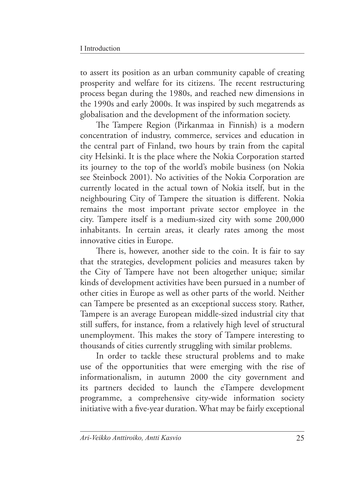to assert its position as an urban community capable of creating prosperity and welfare for its citizens. The recent restructuring process began during the 1980s, and reached new dimensions in the 1990s and early 2000s. It was inspired by such megatrends as globalisation and the development of the information society.

The Tampere Region (Pirkanmaa in Finnish) is a modern concentration of industry, commerce, services and education in the central part of Finland, two hours by train from the capital city Helsinki. It is the place where the Nokia Corporation started its journey to the top of the world's mobile business (on Nokia see Steinbock 2001). No activities of the Nokia Corporation are currently located in the actual town of Nokia itself, but in the neighbouring City of Tampere the situation is different. Nokia remains the most important private sector employee in the city. Tampere itself is a medium-sized city with some 200,000 inhabitants. In certain areas, it clearly rates among the most innovative cities in Europe.

There is, however, another side to the coin. It is fair to say that the strategies, development policies and measures taken by the City of Tampere have not been altogether unique; similar kinds of development activities have been pursued in a number of other cities in Europe as well as other parts of the world. Neither can Tampere be presented as an exceptional success story. Rather, Tampere is an average European middle-sized industrial city that still suffers, for instance, from a relatively high level of structural unemployment. This makes the story of Tampere interesting to thousands of cities currently struggling with similar problems.

In order to tackle these structural problems and to make use of the opportunities that were emerging with the rise of informationalism, in autumn 2000 the city government and its partners decided to launch the eTampere development programme, a comprehensive city-wide information society initiative with a five-year duration. What may be fairly exceptional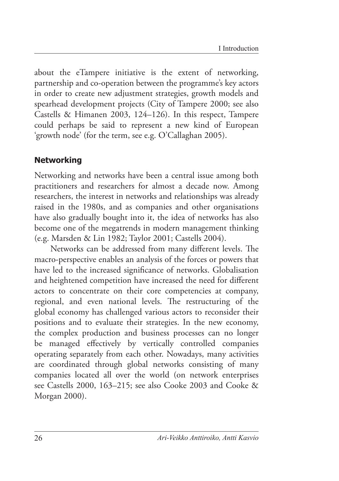about the eTampere initiative is the extent of networking, partnership and co-operation between the programme's key actors in order to create new adjustment strategies, growth models and spearhead development projects (City of Tampere 2000; see also Castells & Himanen 2003, 124–126). In this respect, Tampere could perhaps be said to represent a new kind of European 'growth node' (for the term, see e.g. O'Callaghan 2005).

#### **Networking**

Networking and networks have been a central issue among both practitioners and researchers for almost a decade now. Among researchers, the interest in networks and relationships was already raised in the 1980s, and as companies and other organisations have also gradually bought into it, the idea of networks has also become one of the megatrends in modern management thinking (e.g. Marsden & Lin 1982; Taylor 2001; Castells 2004).

Networks can be addressed from many different levels. The macro-perspective enables an analysis of the forces or powers that have led to the increased significance of networks. Globalisation and heightened competition have increased the need for different actors to concentrate on their core competencies at company, regional, and even national levels. The restructuring of the global economy has challenged various actors to reconsider their positions and to evaluate their strategies. In the new economy, the complex production and business processes can no longer be managed effectively by vertically controlled companies operating separately from each other. Nowadays, many activities are coordinated through global networks consisting of many companies located all over the world (on network enterprises see Castells 2000, 163–215; see also Cooke 2003 and Cooke & Morgan 2000).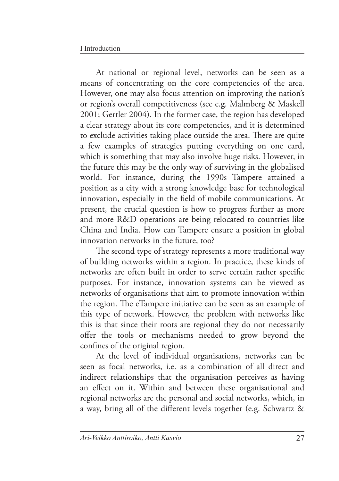At national or regional level, networks can be seen as a means of concentrating on the core competencies of the area. However, one may also focus attention on improving the nation's or region's overall competitiveness (see e.g. Malmberg & Maskell 2001; Gertler 2004). In the former case, the region has developed a clear strategy about its core competencies, and it is determined to exclude activities taking place outside the area. There are quite a few examples of strategies putting everything on one card, which is something that may also involve huge risks. However, in the future this may be the only way of surviving in the globalised world. For instance, during the 1990s Tampere attained a position as a city with a strong knowledge base for technological innovation, especially in the field of mobile communications. At present, the crucial question is how to progress further as more and more R&D operations are being relocated to countries like China and India. How can Tampere ensure a position in global innovation networks in the future, too?

The second type of strategy represents a more traditional way of building networks within a region. In practice, these kinds of networks are often built in order to serve certain rather specific purposes. For instance, innovation systems can be viewed as networks of organisations that aim to promote innovation within the region. The eTampere initiative can be seen as an example of this type of network. However, the problem with networks like this is that since their roots are regional they do not necessarily offer the tools or mechanisms needed to grow beyond the confines of the original region.

At the level of individual organisations, networks can be seen as focal networks, i.e. as a combination of all direct and indirect relationships that the organisation perceives as having an effect on it. Within and between these organisational and regional networks are the personal and social networks, which, in a way, bring all of the different levels together (e.g. Schwartz &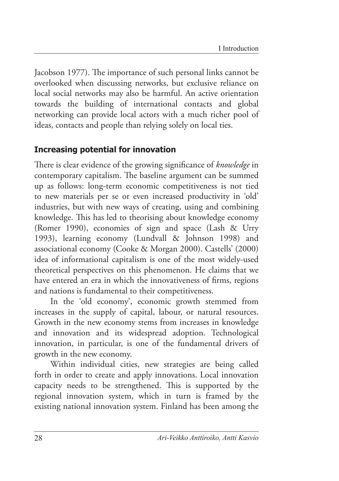Jacobson 1977). The importance of such personal links cannot be overlooked when discussing networks, but exclusive reliance on local social networks may also be harmful. An active orientation towards the building of international contacts and global networking can provide local actors with a much richer pool of ideas, contacts and people than relying solely on local ties.

#### **Increasing potential for innovation**

There is clear evidence of the growing significance of *knowledge* in contemporary capitalism. The baseline argument can be summed up as follows: long-term economic competitiveness is not tied to new materials per se or even increased productivity in 'old' industries, but with new ways of creating, using and combining knowledge. This has led to theorising about knowledge economy (Romer 1990), economies of sign and space (Lash & Urry 1993), learning economy (Lundvall & Johnson 1998) and associational economy (Cooke & Morgan 2000). Castells' (2000) idea of informational capitalism is one of the most widely-used theoretical perspectives on this phenomenon. He claims that we have entered an era in which the innovativeness of firms, regions and nations is fundamental to their competitiveness.

In the 'old economy', economic growth stemmed from increases in the supply of capital, labour, or natural resources. Growth in the new economy stems from increases in knowledge and innovation and its widespread adoption. Technological innovation, in particular, is one of the fundamental drivers of growth in the new economy.

Within individual cities, new strategies are being called forth in order to create and apply innovations. Local innovation capacity needs to be strengthened. This is supported by the regional innovation system, which in turn is framed by the existing national innovation system. Finland has been among the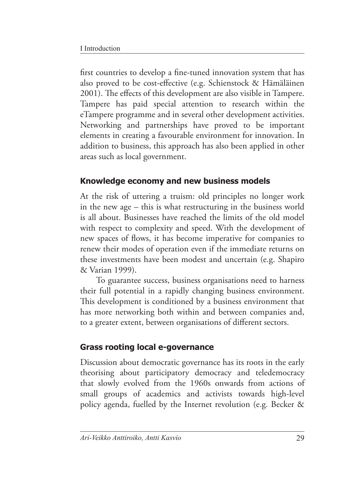first countries to develop a fine-tuned innovation system that has also proved to be cost-effective (e.g. Schienstock & Hämäläinen 2001). The effects of this development are also visible in Tampere. Tampere has paid special attention to research within the eTampere programme and in several other development activities. Networking and partnerships have proved to be important elements in creating a favourable environment for innovation. In addition to business, this approach has also been applied in other areas such as local government.

## **Knowledge economy and new business models**

At the risk of uttering a truism: old principles no longer work in the new age – this is what restructuring in the business world is all about. Businesses have reached the limits of the old model with respect to complexity and speed. With the development of new spaces of flows, it has become imperative for companies to renew their modes of operation even if the immediate returns on these investments have been modest and uncertain (e.g. Shapiro & Varian 1999).

To guarantee success, business organisations need to harness their full potential in a rapidly changing business environment. This development is conditioned by a business environment that has more networking both within and between companies and, to a greater extent, between organisations of different sectors.

## **Grass rooting local e-governance**

Discussion about democratic governance has its roots in the early theorising about participatory democracy and teledemocracy that slowly evolved from the 1960s onwards from actions of small groups of academics and activists towards high-level policy agenda, fuelled by the Internet revolution (e.g. Becker &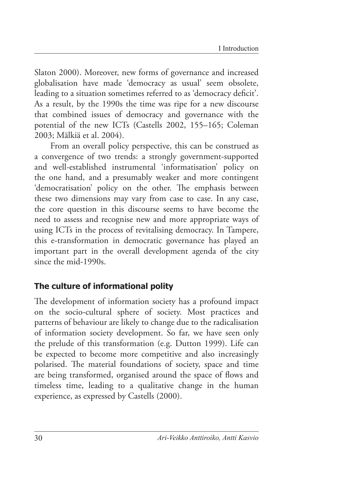Slaton 2000). Moreover, new forms of governance and increased globalisation have made 'democracy as usual' seem obsolete, leading to a situation sometimes referred to as 'democracy deficit'. As a result, by the 1990s the time was ripe for a new discourse that combined issues of democracy and governance with the potential of the new ICTs (Castells 2002, 155–165; Coleman 2003; Mälkiä et al. 2004).

From an overall policy perspective, this can be construed as a convergence of two trends: a strongly government-supported and well-established instrumental 'informatisation' policy on the one hand, and a presumably weaker and more contingent 'democratisation' policy on the other. The emphasis between these two dimensions may vary from case to case. In any case, the core question in this discourse seems to have become the need to assess and recognise new and more appropriate ways of using ICTs in the process of revitalising democracy. In Tampere, this e-transformation in democratic governance has played an important part in the overall development agenda of the city since the mid-1990s.

#### **The culture of informational polity**

The development of information society has a profound impact on the socio-cultural sphere of society. Most practices and patterns of behaviour are likely to change due to the radicalisation of information society development. So far, we have seen only the prelude of this transformation (e.g. Dutton 1999). Life can be expected to become more competitive and also increasingly polarised. The material foundations of society, space and time are being transformed, organised around the space of flows and timeless time, leading to a qualitative change in the human experience, as expressed by Castells (2000).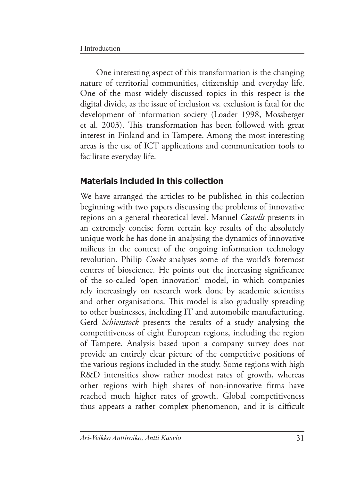One interesting aspect of this transformation is the changing nature of territorial communities, citizenship and everyday life. One of the most widely discussed topics in this respect is the digital divide, as the issue of inclusion vs. exclusion is fatal for the development of information society (Loader 1998, Mossberger et al. 2003). This transformation has been followed with great interest in Finland and in Tampere. Among the most interesting areas is the use of ICT applications and communication tools to facilitate everyday life.

# **Materials included in this collection**

We have arranged the articles to be published in this collection beginning with two papers discussing the problems of innovative regions on a general theoretical level. Manuel *Castells* presents in an extremely concise form certain key results of the absolutely unique work he has done in analysing the dynamics of innovative milieus in the context of the ongoing information technology revolution. Philip *Cooke* analyses some of the world's foremost centres of bioscience. He points out the increasing significance of the so-called 'open innovation' model, in which companies rely increasingly on research work done by academic scientists and other organisations. This model is also gradually spreading to other businesses, including IT and automobile manufacturing. Gerd *Schienstock* presents the results of a study analysing the competitiveness of eight European regions, including the region of Tampere. Analysis based upon a company survey does not provide an entirely clear picture of the competitive positions of the various regions included in the study. Some regions with high R&D intensities show rather modest rates of growth, whereas other regions with high shares of non-innovative firms have reached much higher rates of growth. Global competitiveness thus appears a rather complex phenomenon, and it is difficult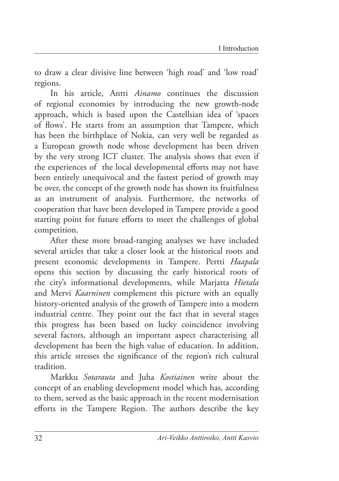to draw a clear divisive line between 'high road' and 'low road' regions.

In his article, Antti *Ainamo* continues the discussion of regional economies by introducing the new growth-node approach, which is based upon the Castellsian idea of 'spaces of flows'. He starts from an assumption that Tampere, which has been the birthplace of Nokia, can very well be regarded as a European growth node whose development has been driven by the very strong ICT cluster. The analysis shows that even if the experiences of the local developmental efforts may not have been entirely unequivocal and the fastest period of growth may be over, the concept of the growth node has shown its fruitfulness as an instrument of analysis. Furthermore, the networks of cooperation that have been developed in Tampere provide a good starting point for future efforts to meet the challenges of global competition.

After these more broad-ranging analyses we have included several articles that take a closer look at the historical roots and present economic developments in Tampere. Pertti *Haapala* opens this section by discussing the early historical roots of the city's informational developments, while Marjatta *Hietala* and Mervi *Kaarninen* complement this picture with an equally history-oriented analysis of the growth of Tampere into a modern industrial centre. They point out the fact that in several stages this progress has been based on lucky coincidence involving several factors, although an important aspect characterising all development has been the high value of education. In addition, this article stresses the significance of the region's rich cultural tradition.

Markku *Sotarauta* and Juha *Kostiainen* write about the concept of an enabling development model which has, according to them, served as the basic approach in the recent modernisation efforts in the Tampere Region. The authors describe the key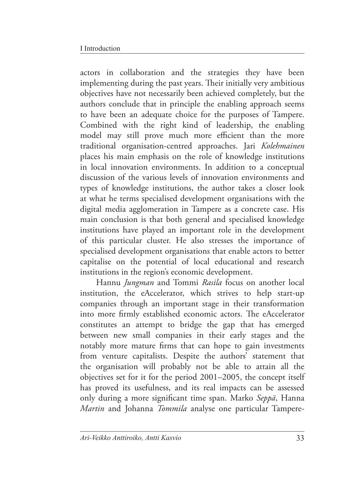actors in collaboration and the strategies they have been implementing during the past years. Their initially very ambitious objectives have not necessarily been achieved completely, but the authors conclude that in principle the enabling approach seems to have been an adequate choice for the purposes of Tampere. Combined with the right kind of leadership, the enabling model may still prove much more efficient than the more traditional organisation-centred approaches. Jari *Kolehmainen* places his main emphasis on the role of knowledge institutions in local innovation environments. In addition to a conceptual discussion of the various levels of innovation environments and types of knowledge institutions, the author takes a closer look at what he terms specialised development organisations with the digital media agglomeration in Tampere as a concrete case. His main conclusion is that both general and specialised knowledge institutions have played an important role in the development of this particular cluster. He also stresses the importance of specialised development organisations that enable actors to better capitalise on the potential of local educational and research institutions in the region's economic development.

Hannu *Jungman* and Tommi *Rasila* focus on another local institution, the eAccelerator, which strives to help start-up companies through an important stage in their transformation into more firmly established economic actors. The eAccelerator constitutes an attempt to bridge the gap that has emerged between new small companies in their early stages and the notably more mature firms that can hope to gain investments from venture capitalists. Despite the authors' statement that the organisation will probably not be able to attain all the objectives set for it for the period 2001–2005, the concept itself has proved its usefulness, and its real impacts can be assessed only during a more significant time span. Marko *Seppä*, Hanna *Martin* and Johanna *Tommila* analyse one particular Tampere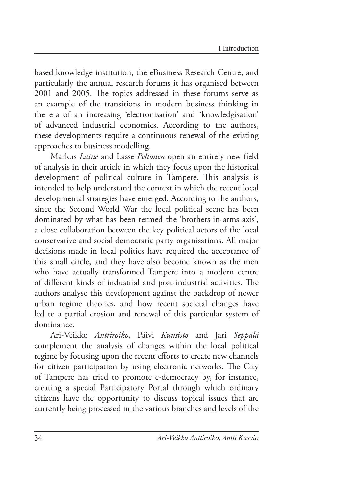based knowledge institution, the eBusiness Research Centre, and particularly the annual research forums it has organised between 2001 and 2005. The topics addressed in these forums serve as an example of the transitions in modern business thinking in the era of an increasing 'electronisation' and 'knowledgisation' of advanced industrial economies. According to the authors, these developments require a continuous renewal of the existing approaches to business modelling.

Markus *Laine* and Lasse *Peltonen* open an entirely new field of analysis in their article in which they focus upon the historical development of political culture in Tampere. This analysis is intended to help understand the context in which the recent local developmental strategies have emerged. According to the authors, since the Second World War the local political scene has been dominated by what has been termed the 'brothers-in-arms axis', a close collaboration between the key political actors of the local conservative and social democratic party organisations. All major decisions made in local politics have required the acceptance of this small circle, and they have also become known as the men who have actually transformed Tampere into a modern centre of different kinds of industrial and post-industrial activities. The authors analyse this development against the backdrop of newer urban regime theories, and how recent societal changes have led to a partial erosion and renewal of this particular system of dominance.

Ari-Veikko *Anttiroiko*, Päivi *Kuusisto* and Jari *Seppälä* complement the analysis of changes within the local political regime by focusing upon the recent efforts to create new channels for citizen participation by using electronic networks. The City of Tampere has tried to promote e-democracy by, for instance, creating a special Participatory Portal through which ordinary citizens have the opportunity to discuss topical issues that are currently being processed in the various branches and levels of the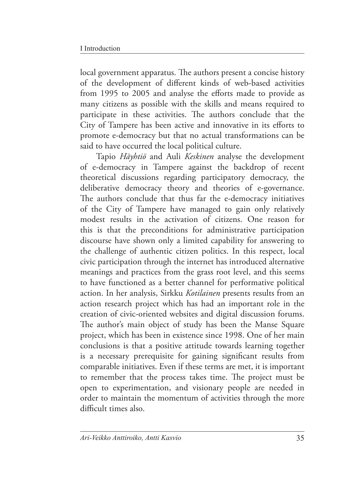local government apparatus. The authors present a concise history of the development of different kinds of web-based activities from 1995 to 2005 and analyse the efforts made to provide as many citizens as possible with the skills and means required to participate in these activities. The authors conclude that the City of Tampere has been active and innovative in its efforts to promote e-democracy but that no actual transformations can be said to have occurred the local political culture.

Tapio *Häyhtiö* and Auli *Keskinen* analyse the development of e-democracy in Tampere against the backdrop of recent theoretical discussions regarding participatory democracy, the deliberative democracy theory and theories of e-governance. The authors conclude that thus far the e-democracy initiatives of the City of Tampere have managed to gain only relatively modest results in the activation of citizens. One reason for this is that the preconditions for administrative participation discourse have shown only a limited capability for answering to the challenge of authentic citizen politics. In this respect, local civic participation through the internet has introduced alternative meanings and practices from the grass root level, and this seems to have functioned as a better channel for performative political action. In her analysis, Sirkku *Kotilainen* presents results from an action research project which has had an important role in the creation of civic-oriented websites and digital discussion forums. The author's main object of study has been the Manse Square project, which has been in existence since 1998. One of her main conclusions is that a positive attitude towards learning together is a necessary prerequisite for gaining significant results from comparable initiatives. Even if these terms are met, it is important to remember that the process takes time. The project must be open to experimentation, and visionary people are needed in order to maintain the momentum of activities through the more difficult times also.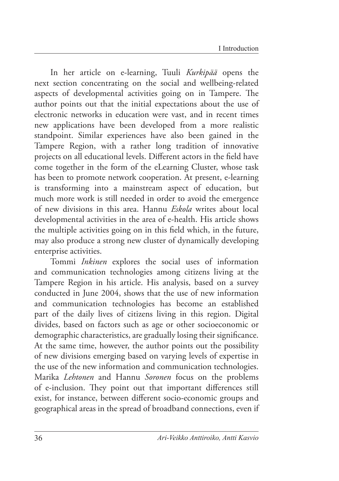In her article on e-learning, Tuuli *Kurkipää* opens the next section concentrating on the social and wellbeing-related aspects of developmental activities going on in Tampere. The author points out that the initial expectations about the use of electronic networks in education were vast, and in recent times new applications have been developed from a more realistic standpoint. Similar experiences have also been gained in the Tampere Region, with a rather long tradition of innovative projects on all educational levels. Different actors in the field have come together in the form of the eLearning Cluster, whose task has been to promote network cooperation. At present, e-learning is transforming into a mainstream aspect of education, but much more work is still needed in order to avoid the emergence of new divisions in this area. Hannu *Eskola* writes about local developmental activities in the area of e-health. His article shows the multiple activities going on in this field which, in the future, may also produce a strong new cluster of dynamically developing enterprise activities.

Tommi *Inkinen* explores the social uses of information and communication technologies among citizens living at the Tampere Region in his article. His analysis, based on a survey conducted in June 2004, shows that the use of new information and communication technologies has become an established part of the daily lives of citizens living in this region. Digital divides, based on factors such as age or other socioeconomic or demographic characteristics, are gradually losing their significance. At the same time, however, the author points out the possibility of new divisions emerging based on varying levels of expertise in the use of the new information and communication technologies. Marika *Lehtonen* and Hannu *Soronen* focus on the problems of e-inclusion. They point out that important differences still exist, for instance, between different socio-economic groups and geographical areas in the spread of broadband connections, even if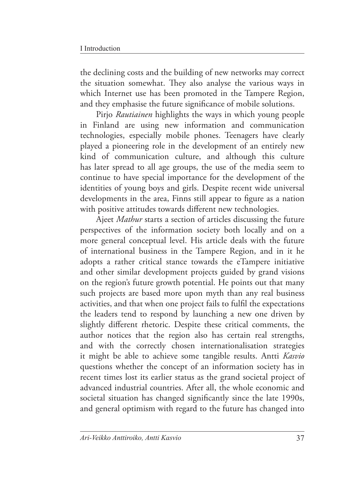the declining costs and the building of new networks may correct the situation somewhat. They also analyse the various ways in which Internet use has been promoted in the Tampere Region, and they emphasise the future significance of mobile solutions.

Pirjo *Rautiainen* highlights the ways in which young people in Finland are using new information and communication technologies, especially mobile phones. Teenagers have clearly played a pioneering role in the development of an entirely new kind of communication culture, and although this culture has later spread to all age groups, the use of the media seem to continue to have special importance for the development of the identities of young boys and girls. Despite recent wide universal developments in the area, Finns still appear to figure as a nation with positive attitudes towards different new technologies.

Ajeet *Mathur* starts a section of articles discussing the future perspectives of the information society both locally and on a more general conceptual level. His article deals with the future of international business in the Tampere Region, and in it he adopts a rather critical stance towards the eTampere initiative and other similar development projects guided by grand visions on the region's future growth potential. He points out that many such projects are based more upon myth than any real business activities, and that when one project fails to fulfil the expectations the leaders tend to respond by launching a new one driven by slightly different rhetoric. Despite these critical comments, the author notices that the region also has certain real strengths, and with the correctly chosen internationalisation strategies it might be able to achieve some tangible results. Antti *Kasvio* questions whether the concept of an information society has in recent times lost its earlier status as the grand societal project of advanced industrial countries. After all, the whole economic and societal situation has changed significantly since the late 1990s, and general optimism with regard to the future has changed into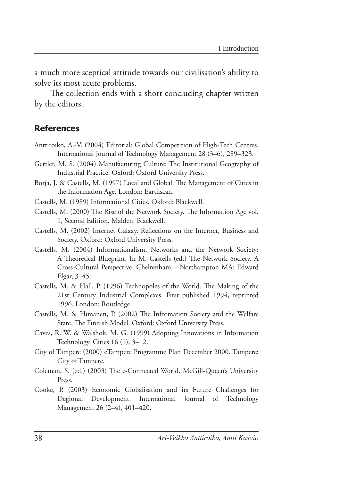a much more sceptical attitude towards our civilisation's ability to solve its most acute problems.

The collection ends with a short concluding chapter written by the editors.

#### **References**

- Anttiroiko, A.-V. (2004) Editorial: Global Competition of High-Tech Centres. International Journal of Technology Management 28 (3–6), 289–323.
- Gertler, M. S. (2004) Manufacturing Culture: The Institutional Geography of Industrial Practice. Oxford: Oxford University Press.
- Borja, J. & Castells, M. (1997) Local and Global: The Management of Cities in the Information Age. London: Earthscan.
- Castells, M. (1989) Informational Cities. Oxford: Blackwell.
- Castells, M. (2000) The Rise of the Network Society. The Information Age vol. 1, Second Edition. Malden: Blackwell.
- Castells, M. (2002) Internet Galaxy. Reflections on the Internet, Business and Society. Oxford: Oxford University Press.
- Castells, M. (2004) Informationalism, Networks and the Network Society: A Theoretical Blueprint. In M. Castells (ed.) The Network Society. A Cross-Cultural Perspective. Cheltenham – Northampton MA: Edward Elgar, 3–45.
- Castells, M. & Hall, P. (1996) Technopoles of the World. The Making of the 21st Century Industrial Complexes. First published 1994, reprinted 1996. London: Routledge.
- Castells, M. & Himanen, P. (2002) The Information Society and the Welfare State. The Finnish Model. Oxford: Oxford University Press.
- Caves, R. W. & Walshok, M. G. (1999) Adopting Innovations in Information Technology. Cities 16 (1), 3–12.
- City of Tampere (2000) eTampere Programme Plan December 2000. Tampere: City of Tampere.
- Coleman, S. (ed.) (2003) The e-Connected World. McGill-Queen's University Press.
- Cooke, P. (2003) Economic Globalisation and its Future Challenges for Degional Development. International Journal of Technology Management 26 (2–4), 401–420.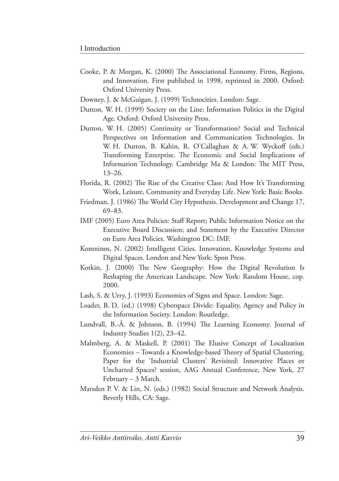- Cooke, P. & Morgan, K. (2000) The Associational Economy. Firms, Regions, and Innovation. First published in 1998, reprinted in 2000. Oxford: Oxford University Press.
- Downey, J. & McGuigan, J. (1999) Technocities. London: Sage.
- Dutton, W. H. (1999) Society on the Line: Information Politics in the Digital Age. Oxford: Oxford University Press.
- Dutton, W. H. (2005) Continuity or Transformation? Social and Technical Perspectives on Information and Communication Technologies. In W. H. Dutton, B. Kahin, R. O'Callaghan & A. W. Wyckoff (eds.) Transforming Enterprise. The Economic and Social Implications of Information Technology. Cambridge Ma & London: The MIT Press, 13–26.
- Florida, R. (2002) The Rise of the Creative Class: And How It's Transforming Work, Leisure, Community and Everyday Life. New York: Basic Books.
- Friedman, J. (1986) The World City Hypothesis. Development and Change 17, 69–83.
- IMF (2005) Euro Area Policies: Staff Report; Public Information Notice on the Executive Board Discussion; and Statement by the Executive Director on Euro Area Policies. Washington DC: IMF.
- Komninos, N. (2002) Intelligent Cities. Innovation, Knowledge Systems and Digital Spaces. London and New York: Spon Press.
- Kotkin, J. (2000) The New Geography: How the Digital Revolution Is Reshaping the American Landscape. New York: Random House, cop. 2000.
- Lash, S. & Urry, J. (1993) Economies of Signs and Space. London: Sage.
- Loader, B. D. (ed.) (1998) Cyberspace Divide: Equality, Agency and Policy in the Information Society. London: Routledge.
- Lundvall, B.-Å. & Johnson, B. (1994) The Learning Economy. Journal of Industry Studies 1(2), 23–42.
- Malmberg, A. & Maskell, P. (2001) The Elusive Concept of Localization Economies – Towards a Knowledge-based Theory of Spatial Clustering. Paper for the 'Industrial Clusters' Revisited: Innovative Places or Uncharted Spaces? session, AAG Annual Conference, New York, 27 February – 3 March.
- Marsden P. V. & Lin, N. (eds.) (1982) Social Structure and Network Analysis. Beverly Hills, CA: Sage.